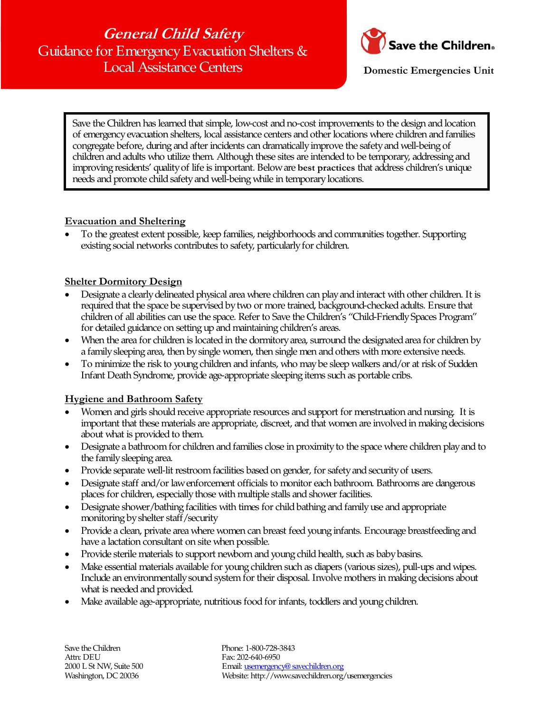**General Child Safety**  Guidance for Emergency Evacuation Shelters & Local Assistance Centers



 **Domestic Emergencies Unit** 

Save the Children has learned that simple, low-cost and no-cost improvements to the design and location of emergency evacuation shelters, local assistance centers and other locations where children and families congregate before, during and after incidents can dramatically improve the safety and well-being of children and adults who utilize them. Although these sites are intended to be temporary, addressing and improving residents' quality of life is important. Below are **best practices** that address children's unique needs and promote child safety and well-being while in temporary locations.

## **Evacuation and Sheltering**

• To the greatest extent possible, keep families, neighborhoods and communities together. Supporting existing social networks contributes to safety, particularly for children.

### **Shelter Dormitory Design**

- Designate a clearly delineated physical area where children can play and interact with other children. It is required that the space be supervised by two or more trained, background-checked adults. Ensure that children of all abilities can use the space. Refer to Save the Children's "Child-Friendly Spaces Program" for detailed guidance on setting up and maintaining children's areas.
- When the area for children is located in the dormitory area, surround the designated area for children by a family sleeping area, then by single women, then single men and others with more extensive needs.
- To minimize the risk to young children and infants, who may be sleep walkers and/or at risk of Sudden Infant Death Syndrome, provide age-appropriate sleeping items such as portable cribs.

## **Hygiene and Bathroom Safety**

- Women and girls should receive appropriate resources and support for menstruation and nursing. It is important that these materials are appropriate, discreet, and that women are involved in making decisions about what is provided to them.
- Designate a bathroom for children and families close in proximity to the space where children play and to the family sleeping area.
- Provide separate well-lit restroom facilities based on gender, for safety and security of users.
- Designate staff and/or law enforcement officials to monitor each bathroom. Bathrooms are dangerous places for children, especially those with multiple stalls and shower facilities.
- Designate shower/bathing facilities with times for child bathing and family use and appropriate monitoring by shelter staff/security
- Provide a clean, private area where women can breast feed young infants. Encourage breastfeeding and have a lactation consultant on site when possible.
- Provide sterile materials to support newborn and young child health, such as baby basins.
- Make essential materials available for young children such as diapers (various sizes), pull-ups and wipes. Include an environmentally sound system for their disposal. Involve mothers in making decisions about what is needed and provided.
- Make available age-appropriate, nutritious food for infants, toddlers and young children.